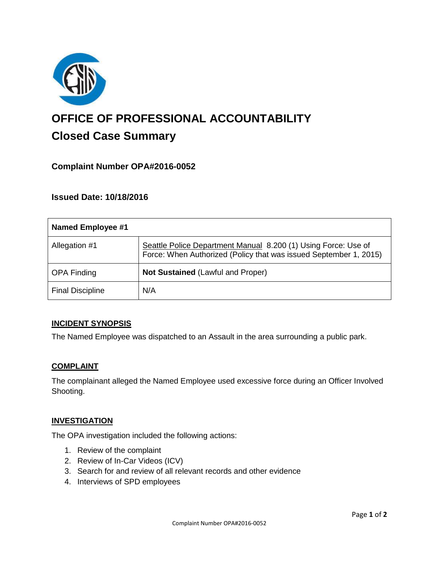

# **OFFICE OF PROFESSIONAL ACCOUNTABILITY Closed Case Summary**

# **Complaint Number OPA#2016-0052**

**Issued Date: 10/18/2016**

| Named Employee #1       |                                                                                                                                     |
|-------------------------|-------------------------------------------------------------------------------------------------------------------------------------|
| Allegation #1           | Seattle Police Department Manual 8.200 (1) Using Force: Use of<br>Force: When Authorized (Policy that was issued September 1, 2015) |
| <b>OPA Finding</b>      | Not Sustained (Lawful and Proper)                                                                                                   |
| <b>Final Discipline</b> | N/A                                                                                                                                 |

## **INCIDENT SYNOPSIS**

The Named Employee was dispatched to an Assault in the area surrounding a public park.

## **COMPLAINT**

The complainant alleged the Named Employee used excessive force during an Officer Involved Shooting.

#### **INVESTIGATION**

The OPA investigation included the following actions:

- 1. Review of the complaint
- 2. Review of In-Car Videos (ICV)
- 3. Search for and review of all relevant records and other evidence
- 4. Interviews of SPD employees